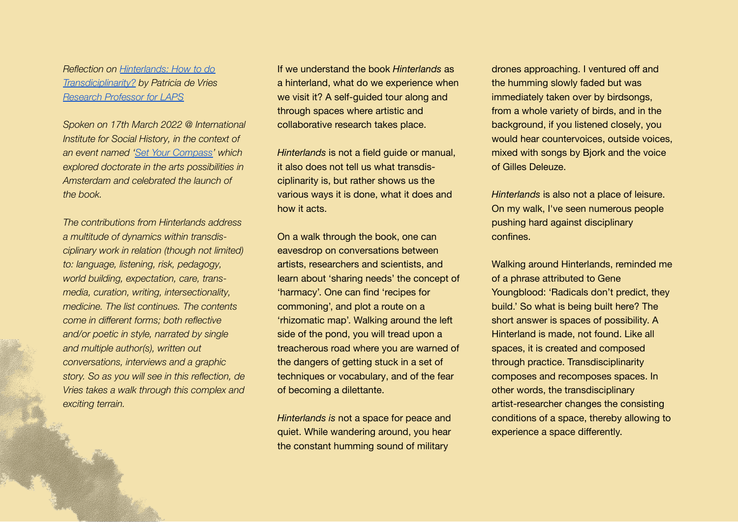*Reflection on [Hinterlands:](https://arias.amsterdam/hinterlands-how-to-do-transdisciplinarity/) How to do [Transdiciplinarity?](https://arias.amsterdam/hinterlands-how-to-do-transdisciplinarity/) by Patricia de Vries Research [Professor](https://laps-rietveld.nl/?p=6407) for LAPS*

*Spoken on 17th March 2022 @ International Institute for Social History, in the context of an event named 'Set Your [Compass'](https://arias.amsterdam/event/set-your-compass/) which explored doctorate in the arts possibilities in Amsterdam and celebrated the launch of the book.*

*The contributions from Hinterlands address a multitude of dynamics within transdisciplinary work in relation (though not limited) to: language, listening, risk, pedagogy, world building, expectation, care, transmedia, curation, writing, intersectionality, medicine. The list continues. The contents come in different forms; both reflective and/or poetic in style, narrated by single and multiple author(s), written out conversations, interviews and a graphic story. So as you will see in this reflection, de Vries takes a walk through this complex and exciting terrain.*

If we understand the book *Hinterlands* as a hinterland, what do we experience when we visit it? A self-guided tour along and through spaces where artistic and collaborative research takes place.

*Hinterlands* is not a field guide or manual, it also does not tell us what transdisciplinarity is, but rather shows us the various ways it is done, what it does and how it acts.

On a walk through the book, one can eavesdrop on conversations between artists, researchers and scientists, and learn about 'sharing needs' the concept of 'harmacy'. One can find 'recipes for commoning', and plot a route on a 'rhizomatic map'. Walking around the left side of the pond, you will tread upon a treacherous road where you are warned of the dangers of getting stuck in a set of techniques or vocabulary, and of the fear of becoming a dilettante.

*Hinterlands is* not a space for peace and quiet. While wandering around, you hear the constant humming sound of military

drones approaching. I ventured off and the humming slowly faded but was immediately taken over by birdsongs, from a whole variety of birds, and in the background, if you listened closely, you would hear countervoices, outside voices, mixed with songs by Bjork and the voice of Gilles Deleuze.

*Hinterlands* is also not a place of leisure. On my walk, I've seen numerous people pushing hard against disciplinary confines.

Walking around Hinterlands, reminded me of a phrase attributed to Gene Youngblood: 'Radicals don't predict, they build.' So what is being built here? The short answer is spaces of possibility. A Hinterland is made, not found. Like all spaces, it is created and composed through practice. Transdisciplinarity composes and recomposes spaces. In other words, the transdisciplinary artist-researcher changes the consisting conditions of a space, thereby allowing to experience a space differently.